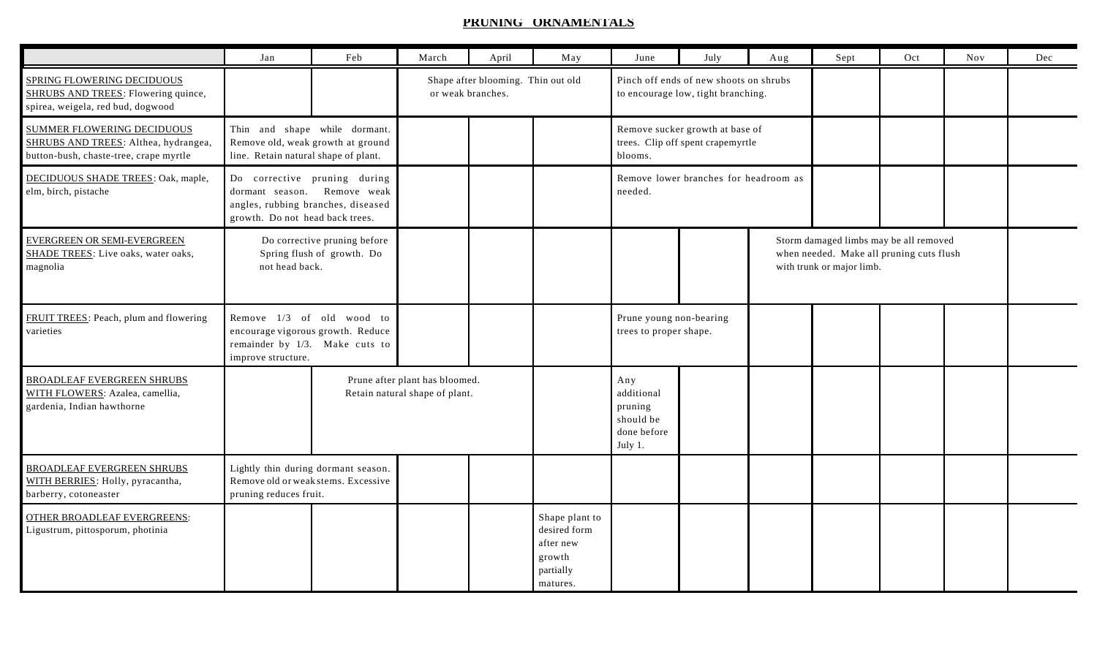## **PRUNING ORNAMENTALS**

|                                                                                                                     | Jan                                                                                                        | Feb                                                                                              | March                                                   | April | May                                                                            | June                                                                            | July | Aug | Sept                                                                                                            | Oct | Nov | Dec |
|---------------------------------------------------------------------------------------------------------------------|------------------------------------------------------------------------------------------------------------|--------------------------------------------------------------------------------------------------|---------------------------------------------------------|-------|--------------------------------------------------------------------------------|---------------------------------------------------------------------------------|------|-----|-----------------------------------------------------------------------------------------------------------------|-----|-----|-----|
| SPRING FLOWERING DECIDUOUS<br>SHRUBS AND TREES: Flowering quince,<br>spirea, weigela, red bud, dogwood              |                                                                                                            |                                                                                                  | Shape after blooming. Thin out old<br>or weak branches. |       |                                                                                | Pinch off ends of new shoots on shrubs<br>to encourage low, tight branching.    |      |     |                                                                                                                 |     |     |     |
| <b>SUMMER FLOWERING DECIDUOUS</b><br>SHRUBS AND TREES: Althea, hydrangea,<br>button-bush, chaste-tree, crape myrtle | Thin and shape while dormant.<br>Remove old, weak growth at ground<br>line. Retain natural shape of plant. |                                                                                                  |                                                         |       |                                                                                | Remove sucker growth at base of<br>trees. Clip off spent crapemyrtle<br>blooms. |      |     |                                                                                                                 |     |     |     |
| DECIDUOUS SHADE TREES: Oak, maple,<br>elm, birch, pistache                                                          | Do corrective pruning during<br>growth. Do not head back trees.                                            | dormant season. Remove weak<br>angles, rubbing branches, diseased                                |                                                         |       |                                                                                | Remove lower branches for headroom as<br>needed.                                |      |     |                                                                                                                 |     |     |     |
| EVERGREEN OR SEMI-EVERGREEN<br>SHADE TREES: Live oaks, water oaks,<br>magnolia                                      | not head back.                                                                                             | Do corrective pruning before<br>Spring flush of growth. Do                                       |                                                         |       |                                                                                |                                                                                 |      |     | Storm damaged limbs may be all removed<br>when needed. Make all pruning cuts flush<br>with trunk or major limb. |     |     |     |
| FRUIT TREES: Peach, plum and flowering<br>varieties                                                                 | improve structure.                                                                                         | Remove 1/3 of old wood to<br>encourage vigorous growth. Reduce<br>remainder by 1/3. Make cuts to |                                                         |       |                                                                                | Prune young non-bearing<br>trees to proper shape.                               |      |     |                                                                                                                 |     |     |     |
| <b>BROADLEAF EVERGREEN SHRUBS</b><br>WITH FLOWERS: Azalea, camellia,<br>gardenia, Indian hawthorne                  |                                                                                                            | Prune after plant has bloomed.<br>Retain natural shape of plant.                                 |                                                         |       |                                                                                | Any<br>additional<br>pruning<br>should be<br>done before<br>July 1.             |      |     |                                                                                                                 |     |     |     |
| <b>BROADLEAF EVERGREEN SHRUBS</b><br>WITH BERRIES: Holly, pyracantha,<br>barberry, cotoneaster                      | Lightly thin during dormant season.<br>Remove old or weak stems. Excessive<br>pruning reduces fruit.       |                                                                                                  |                                                         |       |                                                                                |                                                                                 |      |     |                                                                                                                 |     |     |     |
| <b>OTHER BROADLEAF EVERGREENS:</b><br>Ligustrum, pittosporum, photinia                                              |                                                                                                            |                                                                                                  |                                                         |       | Shape plant to<br>desired form<br>after new<br>growth<br>partially<br>matures. |                                                                                 |      |     |                                                                                                                 |     |     |     |